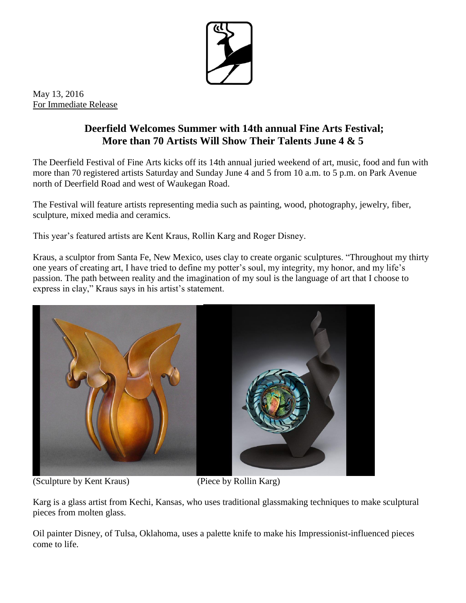

May 13, 2016 For Immediate Release

## **Deerfield Welcomes Summer with 14th annual Fine Arts Festival; More than 70 Artists Will Show Their Talents June 4 & 5**

The Deerfield Festival of Fine Arts kicks off its 14th annual juried weekend of art, music, food and fun with more than 70 registered artists Saturday and Sunday June 4 and 5 from 10 a.m. to 5 p.m. on Park Avenue north of Deerfield Road and west of Waukegan Road.

The Festival will feature artists representing media such as painting, wood, photography, jewelry, fiber, sculpture, mixed media and ceramics.

This year's featured artists are Kent Kraus, Rollin Karg and Roger Disney.

Kraus, a sculptor from Santa Fe, New Mexico, uses clay to create organic sculptures. "Throughout my thirty one years of creating art, I have tried to define my potter's soul, my integrity, my honor, and my life's passion. The path between reality and the imagination of my soul is the language of art that I choose to express in clay," Kraus says in his artist's statement.



(Sculpture by Kent Kraus) (Piece by Rollin Karg)

Karg is a glass artist from Kechi, Kansas, who uses traditional glassmaking techniques to make sculptural pieces from molten glass.

Oil painter Disney, of Tulsa, Oklahoma, uses a palette knife to make his Impressionist-influenced pieces come to life.